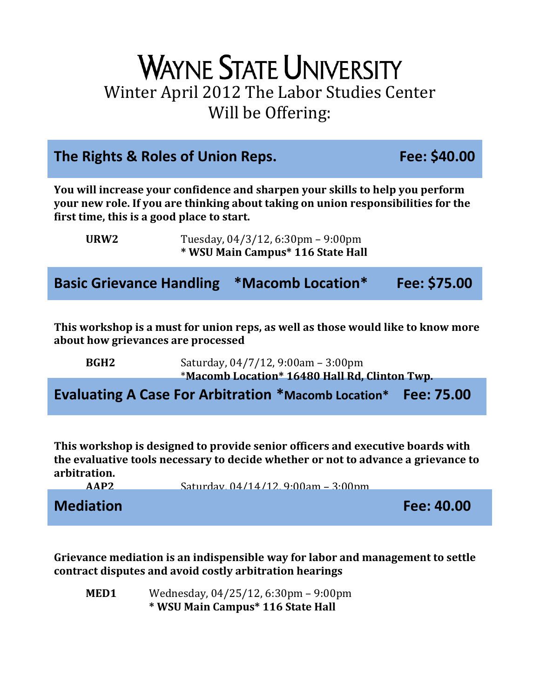## **WAYNE STATE UNIVERSITY** Winter April 2012 The Labor Studies Center Will be Offering:

| The Rights & Roles of Union Reps.                                                                                                                                                                                |                                                                        |                                                                                     | Fee: \$40.00 |  |
|------------------------------------------------------------------------------------------------------------------------------------------------------------------------------------------------------------------|------------------------------------------------------------------------|-------------------------------------------------------------------------------------|--------------|--|
| You will increase your confidence and sharpen your skills to help you perform<br>your new role. If you are thinking about taking on union responsibilities for the<br>first time, this is a good place to start. |                                                                        |                                                                                     |              |  |
| URW <sub>2</sub>                                                                                                                                                                                                 | Tuesday, 04/3/12, 6:30pm - 9:00pm<br>* WSU Main Campus* 116 State Hall |                                                                                     |              |  |
|                                                                                                                                                                                                                  |                                                                        | <b>Basic Grievance Handling *Macomb Location*</b>                                   | Fee: \$75.00 |  |
| This workshop is a must for union reps, as well as those would like to know more<br>about how grievances are processed                                                                                           |                                                                        |                                                                                     |              |  |
| BGH <sub>2</sub>                                                                                                                                                                                                 |                                                                        | Saturday, 04/7/12, 9:00am - 3:00pm<br>*Macomb Location* 16480 Hall Rd, Clinton Twp. |              |  |

**Evaluating A Case For Arbitration \*Macomb Location\* Fee: 75.00**

**This workshop is designed to provide senior officers and executive boards with the evaluative tools necessary to decide whether or not to advance a grievance to arbitration.**



**Grievance mediation is an indispensible way for labor and management to settle contract disputes and avoid costly arbitration hearings** 

**MED1** Wednesday, 04/25/12, 6:30pm – 9:00pm **\* WSU Main Campus\* 116 State Hall**